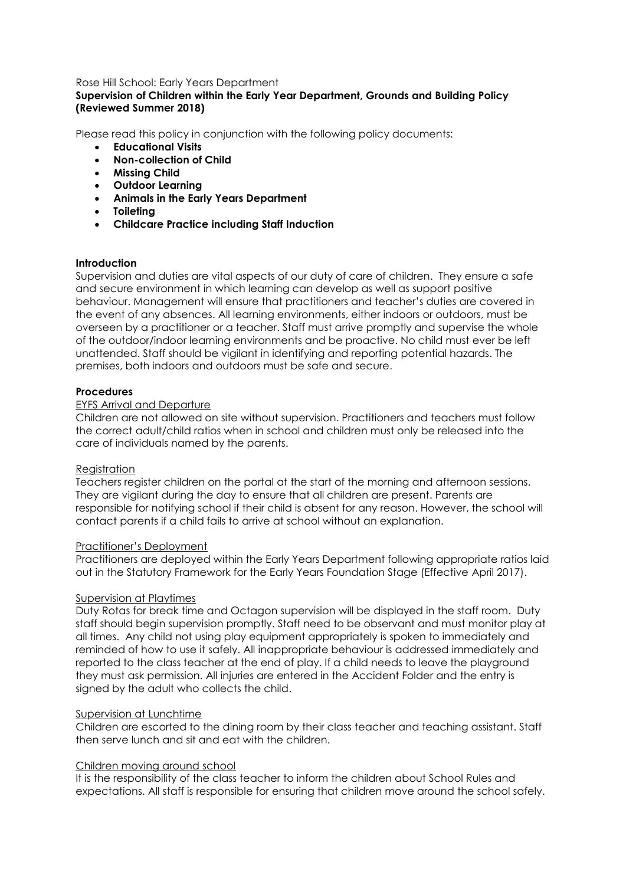## Rose Hill School: Early Years Department

# **Supervision of Children within the Early Year Department, Grounds and Building Policy (Reviewed Summer 2018)**

Please read this policy in conjunction with the following policy documents:

- **Educational Visits**
- **Non-collection of Child**
- **Missing Child**
- **Outdoor Learning**
- **Animals in the Early Years Department**
- **Toileting**
- **Childcare Practice including Staff Induction**

## **Introduction**

Supervision and duties are vital aspects of our duty of care of children. They ensure a safe and secure environment in which learning can develop as well as support positive behaviour. Management will ensure that practitioners and teacher's duties are covered in the event of any absences. All learning environments, either indoors or outdoors, must be overseen by a practitioner or a teacher. Staff must arrive promptly and supervise the whole of the outdoor/indoor learning environments and be proactive. No child must ever be left unattended. Staff should be vigilant in identifying and reporting potential hazards. The premises, both indoors and outdoors must be safe and secure.

## **Procedures**

## EYFS Arrival and Departure

Children are not allowed on site without supervision. Practitioners and teachers must follow the correct adult/child ratios when in school and children must only be released into the care of individuals named by the parents.

#### Registration

Teachers register children on the portal at the start of the morning and afternoon sessions. They are vigilant during the day to ensure that all children are present. Parents are responsible for notifying school if their child is absent for any reason. However, the school will contact parents if a child fails to arrive at school without an explanation.

#### Practitioner's Deployment

Practitioners are deployed within the Early Years Department following appropriate ratios laid out in the Statutory Framework for the Early Years Foundation Stage (Effective April 2017).

## Supervision at Playtimes

Duty Rotas for break time and Octagon supervision will be displayed in the staff room. Duty staff should begin supervision promptly. Staff need to be observant and must monitor play at all times. Any child not using play equipment appropriately is spoken to immediately and reminded of how to use it safely. All inappropriate behaviour is addressed immediately and reported to the class teacher at the end of play. If a child needs to leave the playground they must ask permission. All injuries are entered in the Accident Folder and the entry is signed by the adult who collects the child.

## Supervision at Lunchtime

Children are escorted to the dining room by their class teacher and teaching assistant. Staff then serve lunch and sit and eat with the children.

## Children moving around school

It is the responsibility of the class teacher to inform the children about School Rules and expectations. All staff is responsible for ensuring that children move around the school safely.